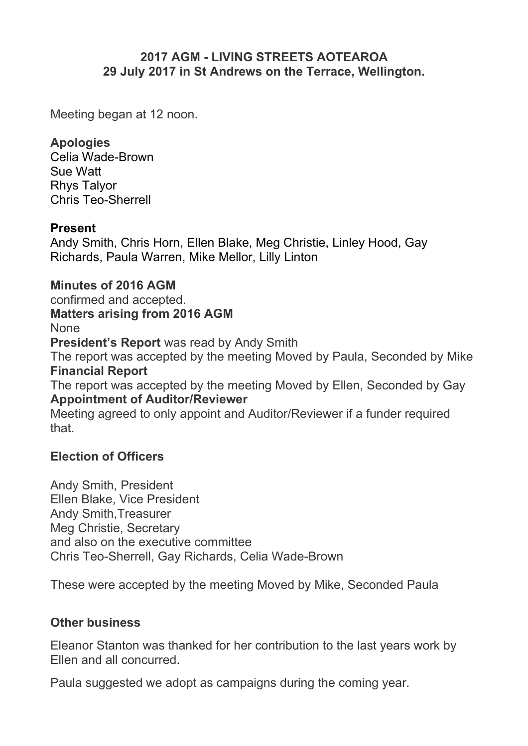# **2017 AGM - LIVING STREETS AOTEAROA 29 July 2017 in St Andrews on the Terrace, Wellington.**

Meeting began at 12 noon.

#### **Apologies**

Celia Wade-Brown Sue Watt Rhys Talyor Chris Teo-Sherrell

### **Present**

Andy Smith, Chris Horn, Ellen Blake, Meg Christie, Linley Hood, Gay Richards, Paula Warren, Mike Mellor, Lilly Linton

### **Minutes of 2016 AGM**

confirmed and accepted. **Matters arising from 2016 AGM** None **President's Report** was read by Andy Smith The report was accepted by the meeting Moved by Paula, Seconded by Mike **Financial Report** The report was accepted by the meeting Moved by Ellen, Seconded by Gay **Appointment of Auditor/Reviewer** Meeting agreed to only appoint and Auditor/Reviewer if a funder required that.

# **Election of Officers**

Andy Smith, President Ellen Blake, Vice President Andy Smith,Treasurer Meg Christie, Secretary and also on the executive committee Chris Teo-Sherrell, Gay Richards, Celia Wade-Brown

These were accepted by the meeting Moved by Mike, Seconded Paula

#### **Other business**

Eleanor Stanton was thanked for her contribution to the last years work by Ellen and all concurred.

Paula suggested we adopt as campaigns during the coming year.